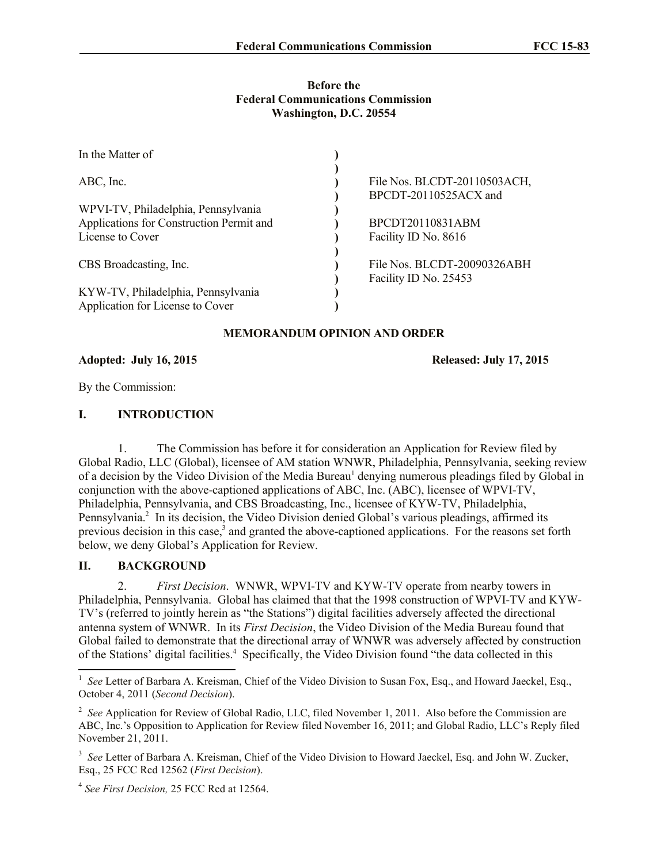### **Before the Federal Communications Commission Washington, D.C. 20554**

| In the Matter of                         |                              |
|------------------------------------------|------------------------------|
| ABC, Inc.                                | File Nos. BLCDT-20110503ACH, |
|                                          | BPCDT-20110525ACX and        |
| WPVI-TV, Philadelphia, Pennsylvania      |                              |
| Applications for Construction Permit and | BPCDT20110831ABM             |
| License to Cover                         | Facility ID No. 8616         |
|                                          |                              |
| CBS Broadcasting, Inc.                   | File Nos. BLCDT-20090326ABH  |
|                                          | Facility ID No. 25453        |
| KYW-TV, Philadelphia, Pennsylvania       |                              |
| Application for License to Cover         |                              |

## **MEMORANDUM OPINION AND ORDER**

## **Adopted: July 16, 2015 Released: July 17, 2015**

By the Commission:

## **I. INTRODUCTION**

1. The Commission has before it for consideration an Application for Review filed by Global Radio, LLC (Global), licensee of AM station WNWR, Philadelphia, Pennsylvania, seeking review of a decision by the Video Division of the Media Bureau<sup>1</sup> denying numerous pleadings filed by Global in conjunction with the above-captioned applications of ABC, Inc. (ABC), licensee of WPVI-TV, Philadelphia, Pennsylvania, and CBS Broadcasting, Inc., licensee of KYW-TV, Philadelphia, Pennsylvania.<sup>2</sup> In its decision, the Video Division denied Global's various pleadings, affirmed its previous decision in this case,<sup>3</sup> and granted the above-captioned applications. For the reasons set forth below, we deny Global's Application for Review.

# **II. BACKGROUND**

2. *First Decision*. WNWR, WPVI-TV and KYW-TV operate from nearby towers in Philadelphia, Pennsylvania. Global has claimed that that the 1998 construction of WPVI-TV and KYW-TV's (referred to jointly herein as "the Stations") digital facilities adversely affected the directional antenna system of WNWR. In its *First Decision*, the Video Division of the Media Bureau found that Global failed to demonstrate that the directional array of WNWR was adversely affected by construction of the Stations' digital facilities.<sup>4</sup> Specifically, the Video Division found "the data collected in this

<sup>&</sup>lt;sup>1</sup> See Letter of Barbara A. Kreisman, Chief of the Video Division to Susan Fox, Esq., and Howard Jaeckel, Esq., October 4, 2011 (*Second Decision*).

<sup>&</sup>lt;sup>2</sup> See Application for Review of Global Radio, LLC, filed November 1, 2011. Also before the Commission are ABC, Inc.'s Opposition to Application for Review filed November 16, 2011; and Global Radio, LLC's Reply filed November 21, 2011.

<sup>&</sup>lt;sup>3</sup> See Letter of Barbara A. Kreisman, Chief of the Video Division to Howard Jaeckel, Esq. and John W. Zucker, Esq., 25 FCC Rcd 12562 (*First Decision*).

<sup>4</sup> *See First Decision,* 25 FCC Rcd at 12564.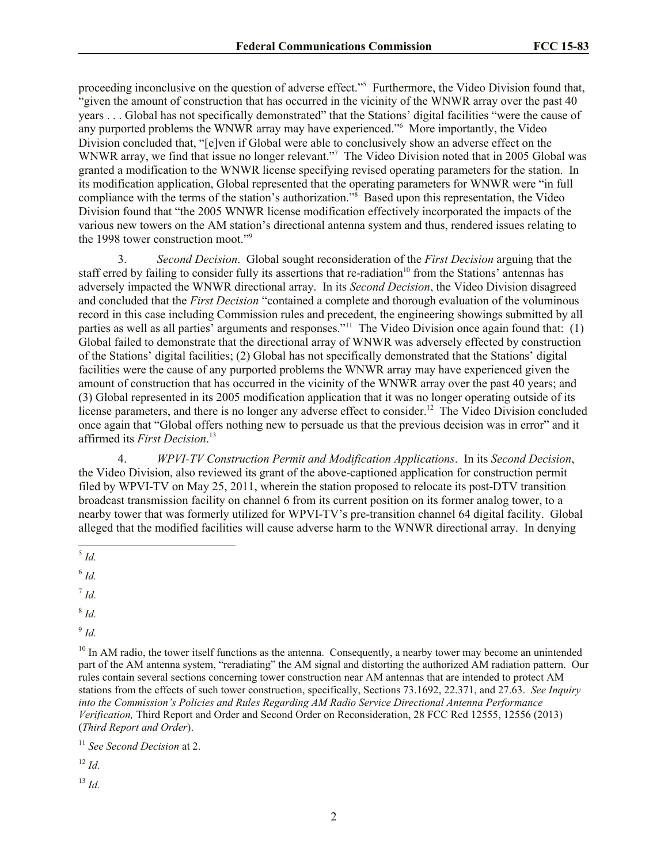proceeding inconclusive on the question of adverse effect."<sup>5</sup> Furthermore, the Video Division found that, "given the amount of construction that has occurred in the vicinity of the WNWR array over the past 40 years . . . Global has not specifically demonstrated" that the Stations' digital facilities "were the cause of any purported problems the WNWR array may have experienced."<sup>6</sup> More importantly, the Video Division concluded that, "[e]ven if Global were able to conclusively show an adverse effect on the WNWR array, we find that issue no longer relevant."<sup>7</sup> The Video Division noted that in 2005 Global was granted a modification to the WNWR license specifying revised operating parameters for the station. In its modification application, Global represented that the operating parameters for WNWR were "in full compliance with the terms of the station's authorization."<sup>8</sup> Based upon this representation, the Video Division found that "the 2005 WNWR license modification effectively incorporated the impacts of the various new towers on the AM station's directional antenna system and thus, rendered issues relating to the 1998 tower construction moot."<sup>9</sup>

3. *Second Decision*. Global sought reconsideration of the *First Decision* arguing that the staff erred by failing to consider fully its assertions that re-radiation<sup>10</sup> from the Stations' antennas has adversely impacted the WNWR directional array. In its *Second Decision*, the Video Division disagreed and concluded that the *First Decision* "contained a complete and thorough evaluation of the voluminous record in this case including Commission rules and precedent, the engineering showings submitted by all parties as well as all parties' arguments and responses."<sup>11</sup> The Video Division once again found that: (1) Global failed to demonstrate that the directional array of WNWR was adversely effected by construction of the Stations' digital facilities; (2) Global has not specifically demonstrated that the Stations' digital facilities were the cause of any purported problems the WNWR array may have experienced given the amount of construction that has occurred in the vicinity of the WNWR array over the past 40 years; and (3) Global represented in its 2005 modification application that it was no longer operating outside of its license parameters, and there is no longer any adverse effect to consider.<sup>12</sup> The Video Division concluded once again that "Global offers nothing new to persuade us that the previous decision was in error" and it affirmed its *First Decision*. 13

4. *WPVI-TV Construction Permit and Modification Applications*. In its *Second Decision*, the Video Division, also reviewed its grant of the above-captioned application for construction permit filed by WPVI-TV on May 25, 2011, wherein the station proposed to relocate its post-DTV transition broadcast transmission facility on channel 6 from its current position on its former analog tower, to a nearby tower that was formerly utilized for WPVI-TV's pre-transition channel 64 digital facility. Global alleged that the modified facilities will cause adverse harm to the WNWR directional array. In denying

7 *Id.*

8 *Id.*

9 *Id.*

 $10$  In AM radio, the tower itself functions as the antenna. Consequently, a nearby tower may become an unintended part of the AM antenna system, "reradiating" the AM signal and distorting the authorized AM radiation pattern. Our rules contain several sections concerning tower construction near AM antennas that are intended to protect AM stations from the effects of such tower construction, specifically, Sections 73.1692, 22.371, and 27.63. *See Inquiry into the Commission's Policies and Rules Regarding AM Radio Service Directional Antenna Performance Verification,* Third Report and Order and Second Order on Reconsideration, 28 FCC Rcd 12555, 12556 (2013) (*Third Report and Order*).

<sup>11</sup> *See Second Decision* at 2.

<sup>12</sup> *Id.*

<sup>13</sup> *Id.*

 $\overline{\phantom{a}}$ 5 *Id.*

<sup>6</sup> *Id.*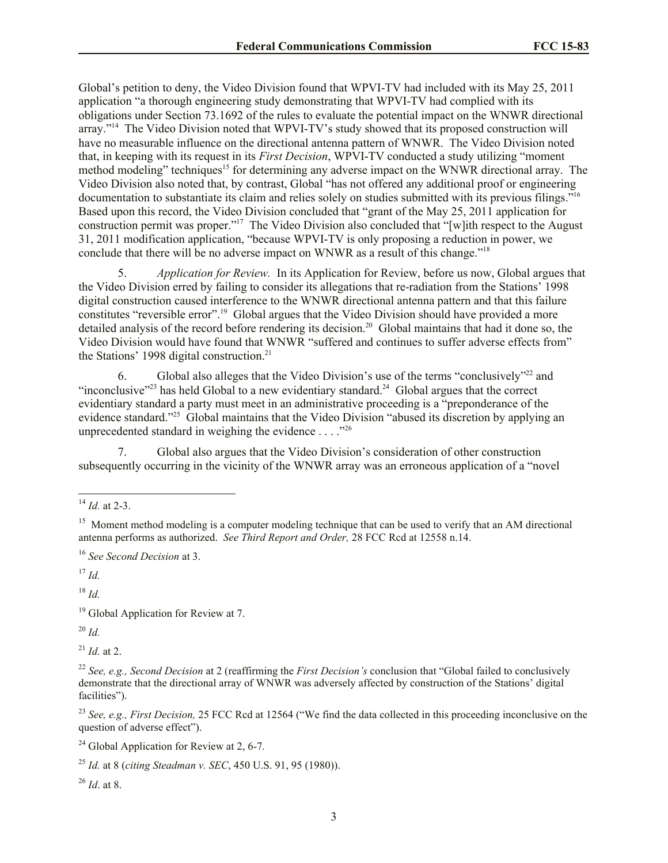Global's petition to deny, the Video Division found that WPVI-TV had included with its May 25, 2011 application "a thorough engineering study demonstrating that WPVI-TV had complied with its obligations under Section 73.1692 of the rules to evaluate the potential impact on the WNWR directional array."<sup>14</sup> The Video Division noted that WPVI-TV's study showed that its proposed construction will have no measurable influence on the directional antenna pattern of WNWR. The Video Division noted that, in keeping with its request in its *First Decision*, WPVI-TV conducted a study utilizing "moment method modeling" techniques<sup>15</sup> for determining any adverse impact on the WNWR directional array. The Video Division also noted that, by contrast, Global "has not offered any additional proof or engineering documentation to substantiate its claim and relies solely on studies submitted with its previous filings." 16 Based upon this record, the Video Division concluded that "grant of the May 25, 2011 application for construction permit was proper." 17 The Video Division also concluded that "[w]ith respect to the August 31, 2011 modification application, "because WPVI-TV is only proposing a reduction in power, we conclude that there will be no adverse impact on WNWR as a result of this change." 18

5. *Application for Review.* In its Application for Review, before us now, Global argues that the Video Division erred by failing to consider its allegations that re-radiation from the Stations' 1998 digital construction caused interference to the WNWR directional antenna pattern and that this failure constitutes "reversible error".<sup>19</sup> Global argues that the Video Division should have provided a more detailed analysis of the record before rendering its decision.<sup>20</sup> Global maintains that had it done so, the Video Division would have found that WNWR "suffered and continues to suffer adverse effects from" the Stations' 1998 digital construction.<sup>21</sup>

6. Global also alleges that the Video Division's use of the terms "conclusively"<sup>22</sup> and "inconclusive"<sup>23</sup> has held Global to a new evidentiary standard.<sup>24</sup> Global argues that the correct evidentiary standard a party must meet in an administrative proceeding is a "preponderance of the evidence standard."<sup>25</sup> Global maintains that the Video Division "abused its discretion by applying an unprecedented standard in weighing the evidence  $\dots$  ."<sup>26</sup>

7. Global also argues that the Video Division's consideration of other construction subsequently occurring in the vicinity of the WNWR array was an erroneous application of a "novel

<sup>16</sup> *See Second Decision* at 3.

<sup>17</sup> *Id.*

<sup>18</sup> *Id.*

<sup>19</sup> Global Application for Review at 7.

<sup>20</sup> *Id.*

 $^{21}$  *Id.* at 2.

<sup>23</sup> *See, e.g., First Decision,* 25 FCC Rcd at 12564 ("We find the data collected in this proceeding inconclusive on the question of adverse effect").

<sup>24</sup> Global Application for Review at 2, 6-7*.*

<sup>26</sup> *Id*. at 8.

l <sup>14</sup> *Id.* at 2-3.

<sup>&</sup>lt;sup>15</sup> Moment method modeling is a computer modeling technique that can be used to verify that an AM directional antenna performs as authorized. *See Third Report and Order,* 28 FCC Rcd at 12558 n.14.

<sup>22</sup> *See, e.g., Second Decision* at 2 (reaffirming the *First Decision's* conclusion that "Global failed to conclusively demonstrate that the directional array of WNWR was adversely affected by construction of the Stations' digital facilities").

<sup>25</sup> *Id.* at 8 (*citing Steadman v. SEC*, 450 U.S. 91, 95 (1980)).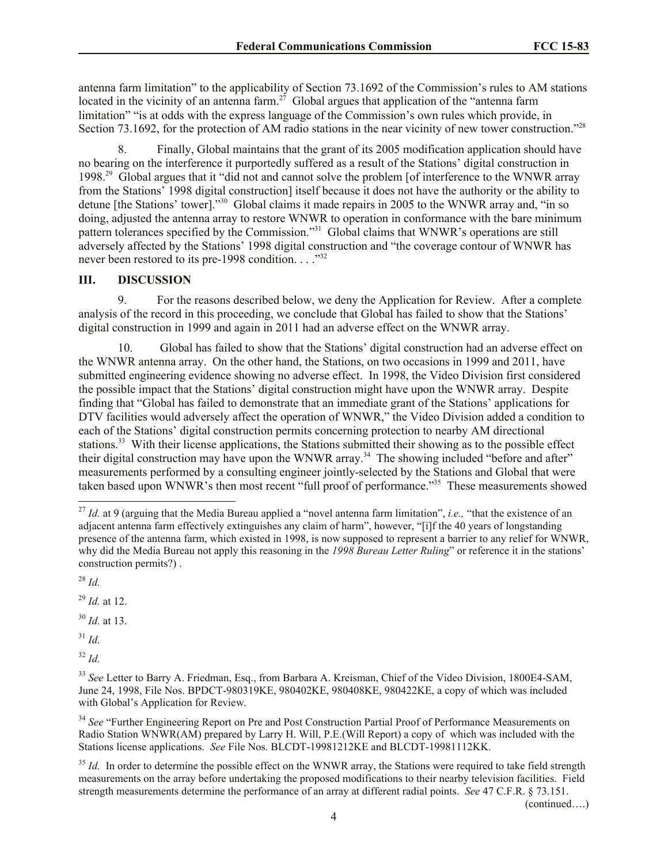antenna farm limitation" to the applicability of Section 73.1692 of the Commission's rules to AM stations located in the vicinity of an antenna farm.<sup>27</sup> Global argues that application of the "antenna farm" limitation" "is at odds with the express language of the Commission's own rules which provide, in Section 73.1692, for the protection of AM radio stations in the near vicinity of new tower construction."<sup>28</sup>

8. Finally, Global maintains that the grant of its 2005 modification application should have no bearing on the interference it purportedly suffered as a result of the Stations' digital construction in 1998.<sup>29</sup> Global argues that it "did not and cannot solve the problem [of interference to the WNWR array from the Stations' 1998 digital construction] itself because it does not have the authority or the ability to detune [the Stations' tower]."<sup>30</sup> Global claims it made repairs in 2005 to the WNWR array and, "in so doing, adjusted the antenna array to restore WNWR to operation in conformance with the bare minimum pattern tolerances specified by the Commission."<sup>31</sup> Global claims that WNWR's operations are still adversely affected by the Stations' 1998 digital construction and "the coverage contour of WNWR has never been restored to its pre-1998 condition. . . . "<sup>32</sup>

### **III. DISCUSSION**

9. For the reasons described below, we deny the Application for Review. After a complete analysis of the record in this proceeding, we conclude that Global has failed to show that the Stations' digital construction in 1999 and again in 2011 had an adverse effect on the WNWR array.

10. Global has failed to show that the Stations' digital construction had an adverse effect on the WNWR antenna array. On the other hand, the Stations, on two occasions in 1999 and 2011, have submitted engineering evidence showing no adverse effect. In 1998, the Video Division first considered the possible impact that the Stations' digital construction might have upon the WNWR array. Despite finding that "Global has failed to demonstrate that an immediate grant of the Stations' applications for DTV facilities would adversely affect the operation of WNWR," the Video Division added a condition to each of the Stations' digital construction permits concerning protection to nearby AM directional stations.<sup>33</sup> With their license applications, the Stations submitted their showing as to the possible effect their digital construction may have upon the WNWR array.<sup>34</sup> The showing included "before and after" measurements performed by a consulting engineer jointly-selected by the Stations and Global that were taken based upon WNWR's then most recent "full proof of performance."<sup>35</sup> These measurements showed

<sup>28</sup> *Id.*

l

<sup>29</sup> *Id.* at 12.

<sup>30</sup> *Id.* at 13.

<sup>31</sup> *Id.*

<sup>32</sup> *Id.*

<sup>34</sup> See "Further Engineering Report on Pre and Post Construction Partial Proof of Performance Measurements on Radio Station WNWR(AM) prepared by Larry H. Will, P.E.(Will Report) a copy of which was included with the Stations license applications. *See* File Nos. BLCDT-19981212KE and BLCDT-19981112KK.

<sup>35</sup> *Id.* In order to determine the possible effect on the WNWR array, the Stations were required to take field strength measurements on the array before undertaking the proposed modifications to their nearby television facilities. Field strength measurements determine the performance of an array at different radial points. *See* 47 C.F.R. § 73.151.

(continued….)

<sup>27</sup> *Id.* at 9 (arguing that the Media Bureau applied a "novel antenna farm limitation", *i.e.,* "that the existence of an adjacent antenna farm effectively extinguishes any claim of harm", however, "[i]f the 40 years of longstanding presence of the antenna farm, which existed in 1998, is now supposed to represent a barrier to any relief for WNWR, why did the Media Bureau not apply this reasoning in the *1998 Bureau Letter Ruling*" or reference it in the stations' construction permits?) .

<sup>&</sup>lt;sup>33</sup> See Letter to Barry A. Friedman, Esq., from Barbara A. Kreisman, Chief of the Video Division, 1800E4-SAM, June 24, 1998, File Nos. BPDCT-980319KE, 980402KE, 980408KE, 980422KE, a copy of which was included with Global's Application for Review.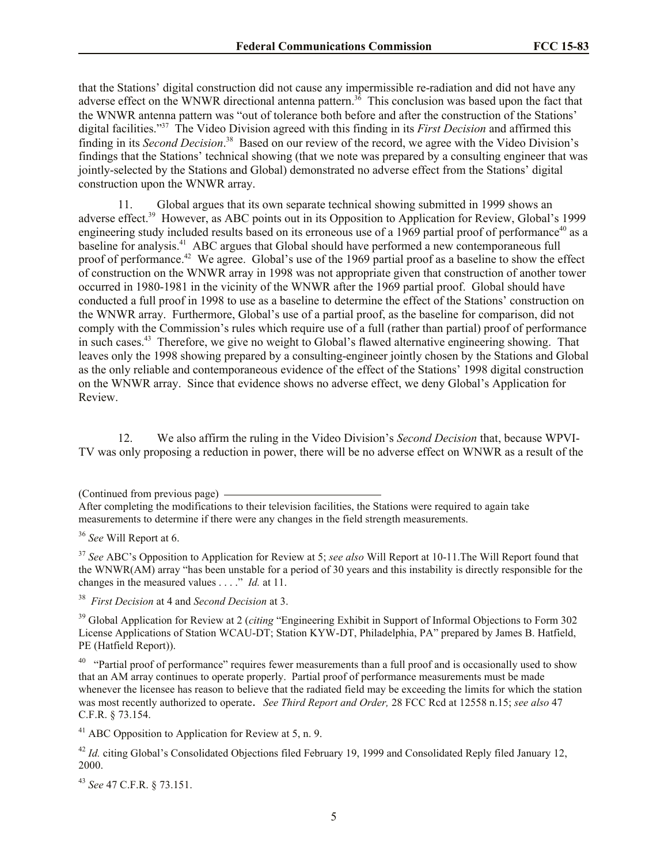that the Stations' digital construction did not cause any impermissible re-radiation and did not have any adverse effect on the WNWR directional antenna pattern.<sup>36</sup> This conclusion was based upon the fact that the WNWR antenna pattern was "out of tolerance both before and after the construction of the Stations' digital facilities."<sup>37</sup> The Video Division agreed with this finding in its *First Decision* and affirmed this finding in its *Second Decision*. 38 Based on our review of the record, we agree with the Video Division's findings that the Stations' technical showing (that we note was prepared by a consulting engineer that was jointly-selected by the Stations and Global) demonstrated no adverse effect from the Stations' digital construction upon the WNWR array.

Global argues that its own separate technical showing submitted in 1999 shows an adverse effect.<sup>39</sup> However, as ABC points out in its Opposition to Application for Review, Global's 1999 engineering study included results based on its erroneous use of a 1969 partial proof of performance<sup>40</sup> as a baseline for analysis.<sup>41</sup> ABC argues that Global should have performed a new contemporaneous full proof of performance.<sup>42</sup> We agree. Global's use of the 1969 partial proof as a baseline to show the effect of construction on the WNWR array in 1998 was not appropriate given that construction of another tower occurred in 1980-1981 in the vicinity of the WNWR after the 1969 partial proof. Global should have conducted a full proof in 1998 to use as a baseline to determine the effect of the Stations' construction on the WNWR array. Furthermore, Global's use of a partial proof, as the baseline for comparison, did not comply with the Commission's rules which require use of a full (rather than partial) proof of performance in such cases.<sup>43</sup> Therefore, we give no weight to Global's flawed alternative engineering showing. That leaves only the 1998 showing prepared by a consulting-engineer jointly chosen by the Stations and Global as the only reliable and contemporaneous evidence of the effect of the Stations' 1998 digital construction on the WNWR array. Since that evidence shows no adverse effect, we deny Global's Application for Review.

12. We also affirm the ruling in the Video Division's *Second Decision* that, because WPVI-TV was only proposing a reduction in power, there will be no adverse effect on WNWR as a result of the

<sup>37</sup> *See* ABC's Opposition to Application for Review at 5; *see also* Will Report at 10-11.The Will Report found that the WNWR(AM) array "has been unstable for a period of 30 years and this instability is directly responsible for the changes in the measured values . . . ." *Id.* at 11.

<sup>38</sup> *First Decision* at 4 and *Second Decision* at 3.

<sup>39</sup> Global Application for Review at 2 (*citing* "Engineering Exhibit in Support of Informal Objections to Form 302 License Applications of Station WCAU-DT; Station KYW-DT, Philadelphia, PA" prepared by James B. Hatfield, PE (Hatfield Report)).

<sup>40</sup> "Partial proof of performance" requires fewer measurements than a full proof and is occasionally used to show that an AM array continues to operate properly. Partial proof of performance measurements must be made whenever the licensee has reason to believe that the radiated field may be exceeding the limits for which the station was most recently authorized to operate. *See Third Report and Order,* 28 FCC Rcd at 12558 n.15; *see also* 47 C.F.R. § 73.154.

<sup>41</sup> ABC Opposition to Application for Review at 5, n. 9.

<sup>42</sup> *Id.* citing Global's Consolidated Objections filed February 19, 1999 and Consolidated Reply filed January 12, 2000.

<sup>43</sup> *See* 47 C.F.R. § 73.151.

<sup>(</sup>Continued from previous page)

After completing the modifications to their television facilities, the Stations were required to again take measurements to determine if there were any changes in the field strength measurements.

<sup>36</sup> *See* Will Report at 6.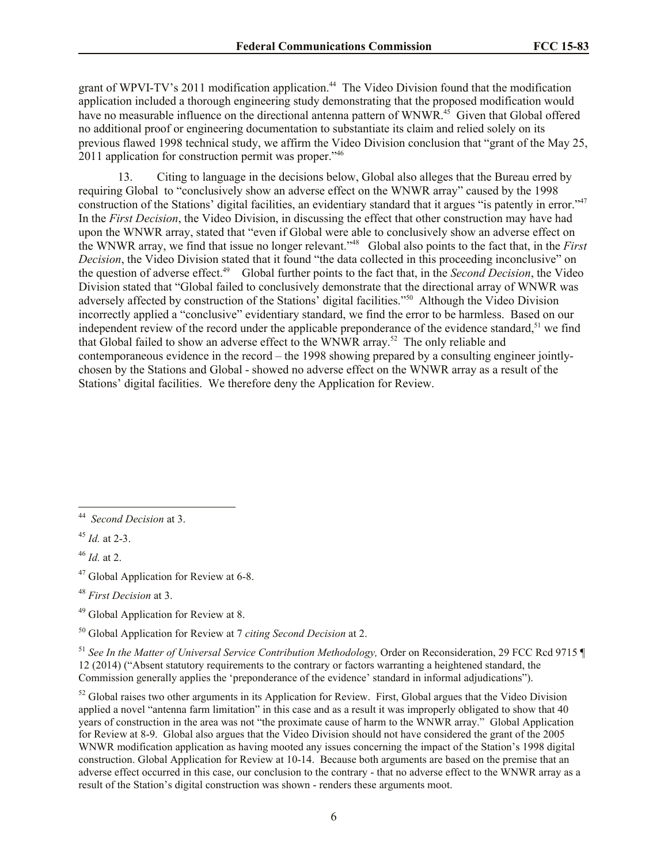grant of WPVI-TV's 2011 modification application.<sup>44</sup> The Video Division found that the modification application included a thorough engineering study demonstrating that the proposed modification would have no measurable influence on the directional antenna pattern of WNWR.<sup>45</sup> Given that Global offered no additional proof or engineering documentation to substantiate its claim and relied solely on its previous flawed 1998 technical study, we affirm the Video Division conclusion that "grant of the May 25, 2011 application for construction permit was proper."<sup>46</sup>

13. Citing to language in the decisions below, Global also alleges that the Bureau erred by requiring Global to "conclusively show an adverse effect on the WNWR array" caused by the 1998 construction of the Stations' digital facilities, an evidentiary standard that it argues "is patently in error."<sup>47</sup> In the *First Decision*, the Video Division, in discussing the effect that other construction may have had upon the WNWR array, stated that "even if Global were able to conclusively show an adverse effect on the WNWR array, we find that issue no longer relevant."<sup>48</sup> Global also points to the fact that, in the *First Decision*, the Video Division stated that it found "the data collected in this proceeding inconclusive" on the question of adverse effect.<sup>49</sup> Global further points to the fact that, in the *Second Decision*, the Video Division stated that "Global failed to conclusively demonstrate that the directional array of WNWR was adversely affected by construction of the Stations' digital facilities."<sup>50</sup> Although the Video Division incorrectly applied a "conclusive" evidentiary standard, we find the error to be harmless. Based on our independent review of the record under the applicable preponderance of the evidence standard,<sup>51</sup> we find that Global failed to show an adverse effect to the WNWR array.<sup>52</sup> The only reliable and contemporaneous evidence in the record – the 1998 showing prepared by a consulting engineer jointlychosen by the Stations and Global - showed no adverse effect on the WNWR array as a result of the Stations' digital facilities. We therefore deny the Application for Review.

 $45$  *Id.* at 2-3.

<sup>46</sup> *Id.* at 2.

<sup>47</sup> Global Application for Review at 6-8.

<sup>48</sup> *First Decision* at 3.

<sup>49</sup> Global Application for Review at 8.

<sup>50</sup> Global Application for Review at 7 *citing Second Decision* at 2.

<sup>51</sup> *See In the Matter of Universal Service Contribution Methodology,* Order on Reconsideration, 29 FCC Rcd 9715 ¶ 12 (2014) ("Absent statutory requirements to the contrary or factors warranting a heightened standard, the Commission generally applies the 'preponderance of the evidence' standard in informal adjudications").

 $52$  Global raises two other arguments in its Application for Review. First, Global argues that the Video Division applied a novel "antenna farm limitation" in this case and as a result it was improperly obligated to show that 40 years of construction in the area was not "the proximate cause of harm to the WNWR array." Global Application for Review at 8-9. Global also argues that the Video Division should not have considered the grant of the 2005 WNWR modification application as having mooted any issues concerning the impact of the Station's 1998 digital construction. Global Application for Review at 10-14. Because both arguments are based on the premise that an adverse effect occurred in this case, our conclusion to the contrary - that no adverse effect to the WNWR array as a result of the Station's digital construction was shown - renders these arguments moot.

 $\frac{1}{44}$ *Second Decision* at 3.